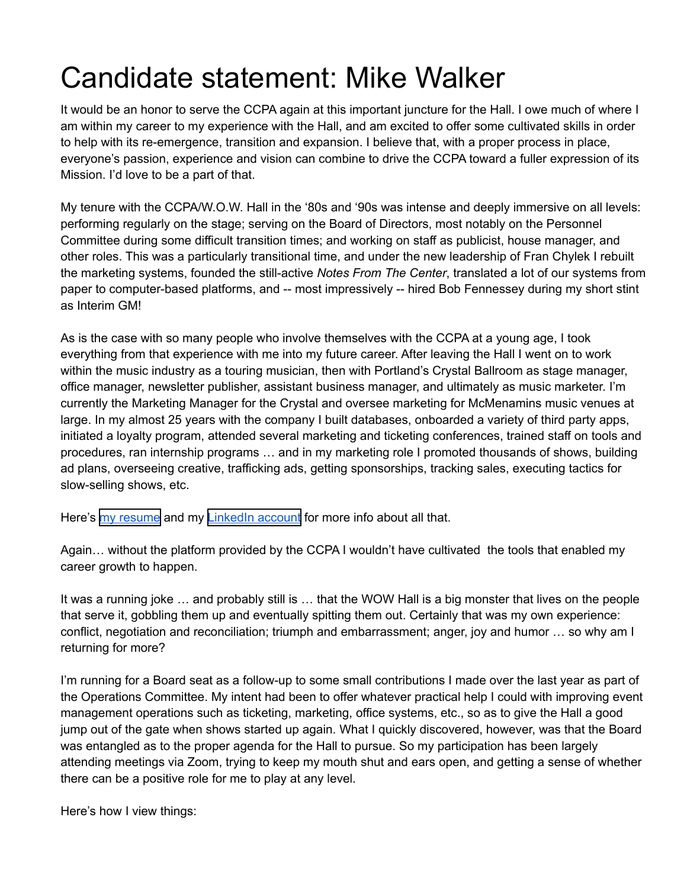## Candidate statement: Mike Walker

It would be an honor to serve the CCPA again at this important juncture for the Hall. I owe much of where I am within my career to my experience with the Hall, and am excited to offer some cultivated skills in order to help with its re-emergence, transition and expansion. I believe that, with a proper process in place, everyone's passion, experience and vision can combine to drive the CCPA toward a fuller expression of its Mission. I'd love to be a part of that.

My tenure with the CCPA/W.O.W. Hall in the '80s and '90s was intense and deeply immersive on all levels: performing regularly on the stage; serving on the Board of Directors, most notably on the Personnel Committee during some difficult transition times; and working on staff as publicist, house manager, and other roles. This was a particularly transitional time, and under the new leadership of Fran Chylek I rebuilt the marketing systems, founded the still-active *Notes From The Center*, translated a lot of our systems from paper to computer-based platforms, and -- most impressively -- hired Bob Fennessey during my short stint as Interim GM!

As is the case with so many people who involve themselves with the CCPA at a young age, I took everything from that experience with me into my future career. After leaving the Hall I went on to work within the music industry as a touring musician, then with Portland's Crystal Ballroom as stage manager, office manager, newsletter publisher, assistant business manager, and ultimately as music marketer. I'm currently the Marketing Manager for the Crystal and oversee marketing for McMenamins music venues at large. In my almost 25 years with the company I built databases, onboarded a variety of third party apps, initiated a loyalty program, attended several marketing and ticketing conferences, trained staff on tools and procedures, ran internship programs … and in my marketing role I promoted thousands of shows, building ad plans, overseeing creative, trafficking ads, getting sponsorships, tracking sales, executing tactics for slow-selling shows, etc.

Here's my resume and my LinkedIn account for more info about all that.

Again… without the platform provided by the CCPA I wouldn't have cultivated the tools that enabled my career growth to happen.

It was a running joke … and probably still is … that the WOW Hall is a big monster that lives on the people that serve it, gobbling them up and eventually spitting them out. Certainly that was my own experience: conflict, negotiation and reconciliation; triumph and embarrassment; anger, joy and humor … so why am I returning for more?

I'm running for a Board seat as a follow-up to some small contributions I made over the last year as part of the Operations Committee. My intent had been to offer whatever practical help I could with improving event management operations such as ticketing, marketing, office systems, etc., so as to give the Hall a good jump out of the gate when shows started up again. What I quickly discovered, however, was that the Board was entangled as to the proper agenda for the Hall to pursue. So my participation has been largely attending meetings via Zoom, trying to keep my mouth shut and ears open, and getting a sense of whether there can be a positive role for me to play at any level.

Here's how I view things: